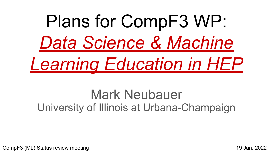# Plans for CompF3 WP: *Data Science & Machine Learning Education in HEP*

# Mark Neubauer University of Illinois at Urbana-Champaign

CompF3 (ML) Status review meeting 19 Jan, 2022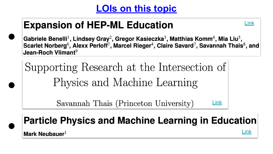### **LOIs on this topic**

# **Expansion of HEP-ML Education**



[Link](https://www.snowmass21.org/docs/files/summaries/CompF/SNOWMASS21-CompF3_CompF0-CommF0_CommF0_Mark_Neubauer-130.pdf)

Gabriele Benelli<sup>1</sup>, Lindsey Gray<sup>2</sup>, Gregor Kasieczka<sup>3</sup>, Matthias Komm<sup>4</sup>, Mia Liu<sup>5</sup>, Scarlet Norberg<sup>6</sup>, Alexx Perloff<sup>7</sup>, Marcel Rieger<sup>4</sup>, Claire Savard<sup>7</sup>, Savannah Thais<sup>8</sup>, and Jean-Roch Vlimant<sup>9</sup>

Supporting Research at the Intersection of Physics and Machine Learning

> Savannah Thais (Princeton University) [Link](https://www.snowmass21.org/docs/files/summaries/CompF/SNOWMASS21-CompF3_CompF0-CommF2_CommF4_Savannah_Thais-123.pdf)

## **Particle Physics and Machine Learning in Education**

Mark Neubauer<sup>1</sup>

 $\bullet$ 

●

 $\bullet$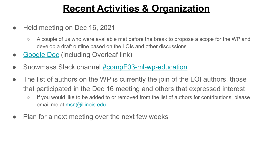### **Recent Activities & Organization**

- Held meeting on Dec 16, 2021
	- A couple of us who were available met before the break to propose a scope for the WP and develop a draft outline based on the LOIs and other discussions.
- **[Google Doc](https://docs.google.com/document/d/1JoBs_7pQVkXW06XvGBjrxz4L3y6hIThWgT947k_rQMI/edit) (including Overleaf link)**
- Snowmass Slack channel [#compF03-ml-wp-education](https://snowmass2021.slack.com/archives/C02QVD3AVC6)
- The list of authors on the WP is currently the join of the LOI authors, those that participated in the Dec 16 meeting and others that expressed interest
	- If you would like to be added to or removed from the list of authors for contributions, please email me at [msn@illinois.edu](mailto:msn@illinois.edu)
- Plan for a next meeting over the next few weeks